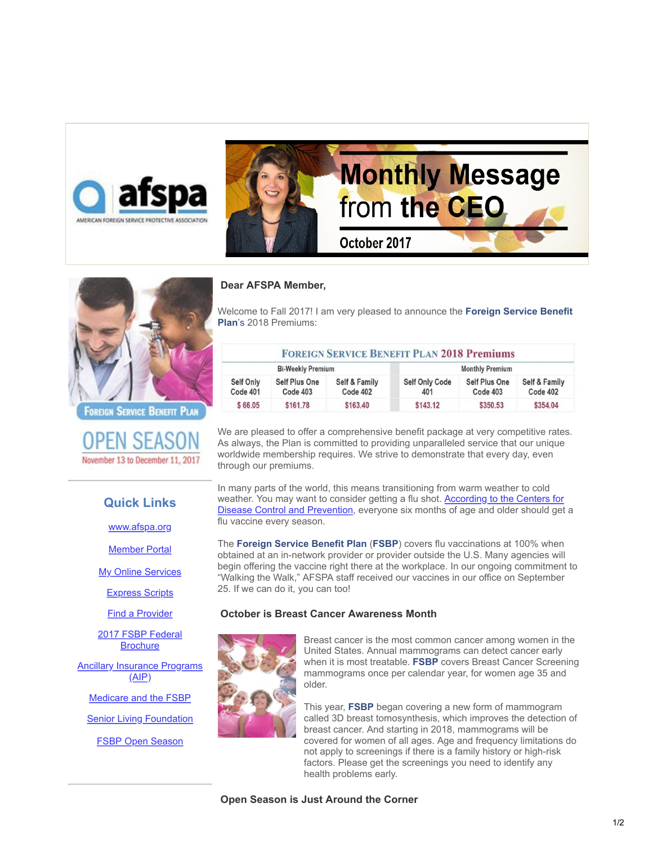



AMERICAN FOREIGN SERVICE PROTECTIVE ASSOCIATION

FOREIGN SERVICE BENEFIT PLAN

OPEN SEAS November 13 to December 11, 2017

# **Quick Links**

[www.afspa.org](http://www.afspa.org/?utm_source=Email_marketing_CEO_Message_Oct2017&utm_campaign=Friday_October_6_2017_-_CEO_Message_Oct2017&cmp=1&utm_medium=HTMLEmail)

**[Member Portal](https://secure.myafspa.org/?utm_source=Email_marketing_CEO_Message_Oct2017&utm_campaign=Friday_October_6_2017_-_CEO_Message_Oct2017&cmp=1&utm_medium=HTMLEmail)** 

**[My Online Services](https://member.cvty.com/memberPortalWeb/appmanager/memberPortal/member?utm_source=Email_marketing_CEO_Message_Oct2017&utm_campaign=Friday_October_6_2017_-_CEO_Message_Oct2017&cmp=1&utm_medium=HTMLEmail)** 

[Express Scripts](https://www.express-scripts.com/consumer/site/home?partner=FSBP&accessLink=FSBPDCC&utm_source=Email_marketing_CEO_Message_Oct2017&utm_campaign=Friday_October_6_2017_-_CEO_Message_Oct2017&cmp=1&utm_medium=HTMLEmail)

[Find a Provider](http://fsbp.coventryhealthcare.com/member-support/locate-a-provider/index.htm?utm_source=Email_marketing_CEO_Message_Oct2017&utm_campaign=Friday_October_6_2017_-_CEO_Message_Oct2017&cmp=1&utm_medium=HTMLEmail)

[2017 FSBP Federal](https://www.afspa.org/filestoreAFSPA/2017RI72-001FSBPBrochure.pdf?utm_source=Email_marketing_CEO_Message_Oct2017&utm_campaign=Friday_October_6_2017_-_CEO_Message_Oct2017&cmp=1&utm_medium=HTMLEmail) **Brochure** 

**[Ancillary Insurance Programs](https://www.afspa.org/aip_home.cfm?utm_source=Email_marketing_CEO_Message_Oct2017&utm_campaign=Friday_October_6_2017_-_CEO_Message_Oct2017&cmp=1&utm_medium=HTMLEmail)** (AIP)

[Medicare and the FSBP](https://www.afspa.org/filestoreAFSPA/FSBP-17MedicareBooklet.pdf?utm_source=Email_marketing_CEO_Message_Oct2017&utm_campaign=Friday_October_6_2017_-_CEO_Message_Oct2017&cmp=1&utm_medium=HTMLEmail)

**[Senior Living Foundation](http://www.slfoundation.org/?utm_source=Email_marketing_CEO_Message_Oct2017&utm_campaign=Friday_October_6_2017_-_CEO_Message_Oct2017&cmp=1&utm_medium=HTMLEmail)** 

**[FSBP Open Season](https://www.afspa.org/fsbp_detail.cfm?page=OpenSeason&utm_source=Email_marketing_CEO_Message_Oct2017&utm_campaign=Friday_October_6_2017_-_CEO_Message_Oct2017&cmp=1&utm_medium=HTMLEmail)** 

#### **Dear AFSPA Member,**

Welcome to Fall 2017! I am very pleased to announce the **Foreign Service Benefit Plan**'s 2018 Premiums:

| <b>FOREIGN SERVICE BENEFIT PLAN 2018 Premiums</b> |                                  |                           |                              |                                  |                           |
|---------------------------------------------------|----------------------------------|---------------------------|------------------------------|----------------------------------|---------------------------|
| <b>Bi-Weekly Premium</b>                          |                                  |                           | <b>Monthly Premium</b>       |                                  |                           |
| Self Only<br>Code 401                             | <b>Self Plus One</b><br>Code 403 | Self & Family<br>Code 402 | <b>Self Only Code</b><br>401 | <b>Self Plus One</b><br>Code 403 | Self & Family<br>Code 402 |
| \$66.05                                           | \$161.78                         | \$163.40                  | \$143.12                     | \$350.53                         | \$354.04                  |

We are pleased to offer a comprehensive benefit package at very competitive rates. As always, the Plan is committed to providing unparalleled service that our unique worldwide membership requires. We strive to demonstrate that every day, even through our premiums.

In many parts of the world, this means transitioning from warm weather to cold weather. You may want to consider getting a flu shot. According to the Centers for [Disease Control and Prevention, everyone six months of age and older should get](https://www.cdc.gov/flu/protect/keyfacts.htm?utm_source=Email_marketing_CEO_Message_Oct2017&utm_campaign=Friday_October_6_2017_-_CEO_Message_Oct2017&cmp=1&utm_medium=HTMLEmail) a flu vaccine every season.

The **Foreign Service Benefit Plan** (**FSBP**) covers flu vaccinations at 100% when obtained at an in-network provider or provider outside the U.S. Many agencies will begin offering the vaccine right there at the workplace. In our ongoing commitment to "Walking the Walk," AFSPA staff received our vaccines in our office on September 25. If we can do it, you can too!

#### **October is Breast Cancer Awareness Month**



Breast cancer is the most common cancer among women in the United States. Annual mammograms can detect cancer early when it is most treatable. **FSBP** covers Breast Cancer Screening mammograms once per calendar year, for women age 35 and older.

This year, **FSBP** began covering a new form of mammogram called 3D breast tomosynthesis, which improves the detection of breast cancer. And starting in 2018, mammograms will be covered for women of all ages. Age and frequency limitations do not apply to screenings if there is a family history or high-risk factors. Please get the screenings you need to identify any health problems early.

 **Open Season is Just Around the Corner**